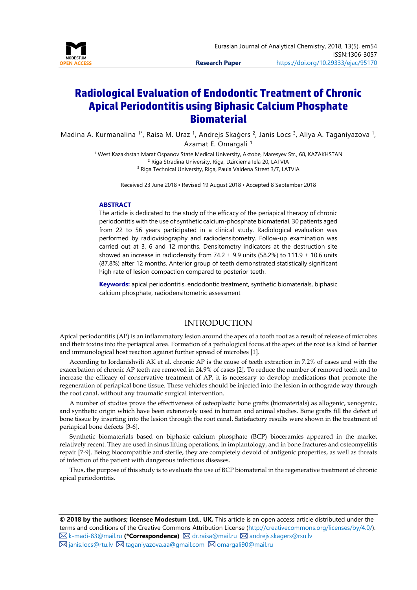

# **Radiological Evaluation of Endodontic Treatment of Chronic Apical Periodontitis using Biphasic Calcium Phosphate Biomaterial**

Madina A. Kurmanalina <sup>1\*</sup>, Raisa M. Uraz <sup>1</sup>, Andrejs Skaģers <sup>2</sup>, Janis Locs <sup>3</sup>, Aliya A. Taganiyazova <sup>1</sup>, Azamat E. Omargali <sup>1</sup>

> <sup>1</sup> West Kazakhstan Marat Ospanov State Medical University, Aktobe, Maresyev Str., 68, KAZAKHSTAN <sup>2</sup> Riga Stradina University, Riga, Dzirciema Iela 20, LATVIA <sup>3</sup> Riga Technical University, Riga, Paula Valdena Street 3/7, LATVIA

> > Received 23 June 2018 ▪ Revised 19 August 2018 ▪ Accepted 8 September 2018

#### **ABSTRACT**

The article is dedicated to the study of the efficacy of the periapical therapy of chronic periodontitis with the use of synthetic calcium-phosphate biomaterial. 30 patients aged from 22 to 56 years participated in a clinical study. Radiological evaluation was performed by radiovisiography and radiodensitometry. Follow-up examination was carried out at 3, 6 and 12 months. Densitometry indicators at the destruction site showed an increase in radiodensity from 74.2  $\pm$  9.9 units (58.2%) to 111.9  $\pm$  10.6 units (87.8%) after 12 months. Anterior group of teeth demonstrated statistically significant high rate of lesion compaction compared to posterior teeth.

**Keywords:** apical periodontitis, endodontic treatment, synthetic biomaterials, biphasic calcium phosphate, radiodensitometric assessment

#### INTRODUCTION

Apical periodontitis (AP) is an inflammatory lesion around the apex of a tooth root as a result of release of microbes and their toxins into the periapical area. Formation of a pathological focus at the apex of the root is a kind of barrier and immunological host reaction against further spread of microbes [1].

According to Iordanishvili AK et al. chronic AP is the cause of teeth extraction in 7.2% of cases and with the exacerbation of chronic AP teeth are removed in 24.9% of cases [2]. To reduce the number of removed teeth and to increase the efficacy of conservative treatment of AP, it is necessary to develop medications that promote the regeneration of periapical bone tissue. These vehicles should be injected into the lesion in orthograde way through the root canal, without any traumatic surgical intervention.

A number of studies prove the effectiveness of osteoplastic bone grafts (biomaterials) as allogenic, xenogenic, and synthetic origin which have been extensively used in human and animal studies. Bone grafts fill the defect of bone tissue by inserting into the lesion through the root canal. Satisfactory results were shown in the treatment of periapical bone defects [3-6].

Synthetic biomaterials based on biphasic calcium phosphate (BCP) bioceramics appeared in the market relatively recent. They are used in sinus lifting operations, in implantology, and in bone fractures and osteomyelitis repair [7-9]. Being biocompatible and sterile, they are completely devoid of antigenic properties, as well as threats of infection of the patient with dangerous infectious diseases.

Thus, the purpose of this study is to evaluate the use of BCP biomaterial in the regenerative treatment of chronic apical periodontitis.

**© 2018 by the authors; licensee Modestum Ltd., UK.** This article is an open access article distributed under the terms and conditions of the Creative Commons Attribution License [\(http://creativecommons.org/licenses/by/4.0/\)](http://creativecommons.org/licenses/by/4.0/).  $\boxtimes$  [k-madi-83@mail.ru](mailto:k-madi-83@mail.ru) (\*Correspondence)  $\boxtimes$  [dr.raisa@mail.ru](mailto:dr.raisa@mail.ru)  $\boxtimes$  [andrejs.skagers@rsu.lv](mailto:andrejs.skagers@rsu.lv)  $\boxtimes$  [janis.locs@rtu.lv](mailto:janis.locs@rtu.lv)  $\boxtimes$  [taganiyazova.aa@gmail.com](mailto:taganiyazova.aa@gmail.com)  $\boxtimes$  [omargali90@mail.ru](mailto:omargali90@mail.ru)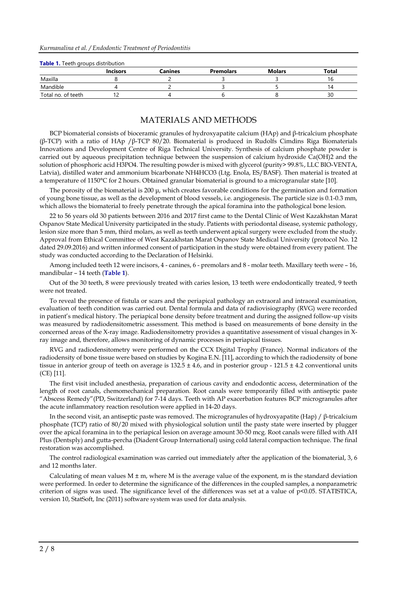| <b>Table 1.</b> Legal groups distribution |                 |         |                  |               |       |  |  |
|-------------------------------------------|-----------------|---------|------------------|---------------|-------|--|--|
|                                           | <b>Incisors</b> | Canines | <b>Premolars</b> | <b>Molars</b> | Total |  |  |
| Maxilla                                   |                 |         |                  |               |       |  |  |
| Mandible                                  |                 |         |                  |               |       |  |  |
| Total no. of teeth                        |                 |         |                  |               | 30    |  |  |

#### **Table 1.** Teeth groups distribution

### MATERIALS AND METHODS

BCP biomaterial consists of bioceramic granules of hydroxyapatite calcium (HAp) and β-tricalcium phosphate (β-TCP) with a ratio of HAp /β-TCP 80/20. Biomaterial is produced in Rudolfs Cimdins Riga Biomaterials Innovations and Development Centre of Riga Technical University. Synthesis of calcium phosphate powder is carried out by aqueous precipitation technique between the suspension of calcium hydroxide Ca(OH)2 and the solution of phosphoric acid H3PO4. The resulting powder is mixed with glycerol (purity> 99.8%, LLC BIO-VENTA, Latvia), distilled water and ammonium bicarbonate NH4HCO3 (Ltg. Enola, ES/BASF). Then material is treated at a temperature of 1150°C for 2 hours. Obtained granular biomaterial is ground to a microgranular state [10].

The porosity of the biomaterial is 200 μ, which creates favorable conditions for the germination and formation of young bone tissue, as well as the development of blood vessels, i.e. angiogenesis. The particle size is 0.1-0.3 mm, which allows the biomaterial to freely penetrate through the apical foramina into the pathological bone lesion.

22 to 56 years old 30 patients between 2016 and 2017 first came to the Dental Clinic of West Kazakhstan Marat Ospanov State Medical University participated in the study. Patients with periodontal disease, systemic pathology, lesion size more than 5 mm, third molars, as well as teeth underwent apical surgery were excluded from the study. Approval from Ethical Committee of West Kazakhstan Marat Ospanov State Medical University (protocol No. 12 dated 29.09.2016) and written informed consent of participation in the study were obtained from every patient. The study was conducted according to the Declaration of Helsinki.

Among included teeth 12 were incisors, 4 - canines, 6 - premolars and 8 - molar teeth. Maxillary teeth were – 16, mandibular – 14 teeth (**Table 1**).

Out of the 30 teeth, 8 were previously treated with caries lesion, 13 teeth were endodontically treated, 9 teeth were not treated.

To reveal the presence of fistula or scars and the periapical pathology an extraoral and intraoral examination, evaluation of teeth condition was carried out. Dental formula and data of radiovisiography (RVG) were recorded in patient's medical history. The periapical bone density before treatment and during the assigned follow-up visits was measured by radiodensitometric assessment. This method is based on measurements of bone density in the concerned areas of the X-ray image. Radiodensitometry provides a quantitative assessment of visual changes in Xray image and, therefore, allows monitoring of dynamic processes in periapical tissues.

RVG and radiodensitometry were performed on the CCX Digital Trophy (France). Normal indicators of the radiodensity of bone tissue were based on studies by Kogina E.N. [11], according to which the radiodensity of bone tissue in anterior group of teeth on average is  $132.5 \pm 4.6$ , and in posterior group -  $121.5 \pm 4.2$  conventional units (CE) [11].

The first visit included anesthesia, preparation of carious cavity and endodontic access, determination of the length of root canals, chemomechanical preparation. Root canals were temporarily filled with antiseptic paste "Abscess Remedy"(PD, Switzerland) for 7-14 days. Teeth with AP exacerbation features BCP microgranules after the acute inflammatory reaction resolution were applied in 14-20 days.

In the second visit, an antiseptic paste was removed. The microgranules of hydroxyapatite (Hap) / β-tricalcium phosphate (TCP) ratio of 80/20 mixed with physiological solution until the pasty state were inserted by plugger over the apical foramina in to the periapical lesion on average amount 30-50 mcg. Root canals were filled with AH Plus (Dentsply) and gutta-percha (Diadent Group International) using cold lateral compaction technique. The final restoration was accomplished.

The control radiological examination was carried out immediately after the application of the biomaterial, 3, 6 and 12 months later.

Calculating of mean values  $M \pm m$ , where M is the average value of the exponent, m is the standard deviation were performed. In order to determine the significance of the differences in the coupled samples, a nonparametric criterion of signs was used. The significance level of the differences was set at a value of p<0.05. STATISTICA, version 10, StatSoft, Inc (2011) software system was used for data analysis.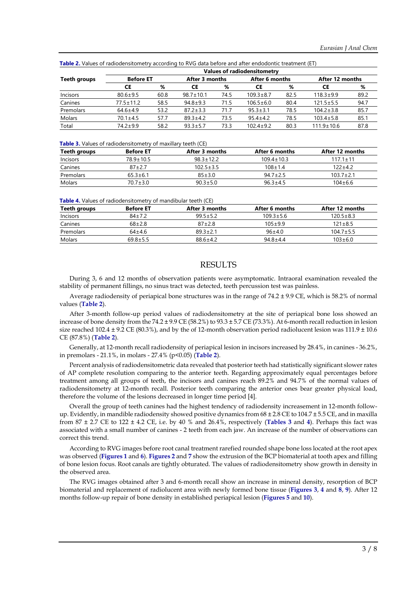|                 | Values of radiodensitometry |      |                 |      |                 |      |                  |      |
|-----------------|-----------------------------|------|-----------------|------|-----------------|------|------------------|------|
| Teeth groups    | <b>Before ET</b>            |      | After 3 months  |      | After 6 months  |      | After 12 months  |      |
|                 | СE                          | %    | СE              | %    | СE              | %    | СE               | %    |
| <b>Incisors</b> | $80.6 + 9.5$                | 60.8 | $98.7 \pm 10.1$ | 74.5 | $109.3 \pm 8.7$ | 82.5 | $118.3 + 9.9$    | 89.2 |
| Canines         | $77.5 \pm 11.2$             | 58.5 | $94.8 + 9.3$    | 71.5 | $106.5 \pm 6.0$ | 80.4 | $121.5 \pm 5.5$  | 94.7 |
| Premolars       | $64.6 \pm 4.9$              | 53.2 | $87.2 \pm 3.3$  | 71.7 | $95.3 \pm 3.1$  | 78.5 | $104.2 \pm 3.8$  | 85.7 |
| Molars          | $70.1 \pm 4.5$              | 57.7 | $89.3 + 4.2$    | 73.5 | $95.4 \pm 4.2$  | 78.5 | $103.4 \pm 5.8$  | 85.1 |
| Total           | $74.2 + 9.9$                | 58.2 | $93.3 \pm 5.7$  | 73.3 | $102.4 + 9.2$   | 80.3 | $111.9 \pm 10.6$ | 87.8 |
|                 |                             |      |                 |      |                 |      |                  |      |

**Table 2.** Values of radiodensitometry according to RVG data before and after endodontic treatment (ET)

**Table 3.** Values of radiodensitometry of maxillary teeth (CE)

| Teeth groups | <b>Before ET</b> | After 3 months  | After 6 months   | After 12 months |
|--------------|------------------|-----------------|------------------|-----------------|
| Incisors     | 789+105          | $983+122$       | $109.4 \pm 10.3$ | $1171+11$       |
| Canines      | 87+27            | $102.5 \pm 3.5$ | $108 + 14$       | 122+42          |
| Premolars    | $653+61$         | $85 + 30$       | $947+25$         | $1037 + 21$     |
| Molars       | 70 7+3 0         | $90.3 + 5.0$    | $96.3 + 4.5$     | $104 + 6.6$     |

**Table 4.** Values of radiodensitometry of mandibular teeth (CE)

| <b>Before ET</b> | After 3 months | After 6 months | After 12 months |
|------------------|----------------|----------------|-----------------|
| $84 + 72$        | $995+52$       | $1093 + 56$    | $1205 + 83$     |
| $68 + 2.8$       | $87 + 28$      | $105 + 99$     | $121 \pm 8.5$   |
| $64+4.6$         | $89.3 \pm 2.1$ | $96+4.0$       | $104.7 \pm 5.5$ |
| $69.8 + 5.5$     | $886+42$       | $94.8 + 4.4$   | $103 + 6.0$     |
|                  |                |                |                 |

### RESULTS

During 3, 6 and 12 months of observation patients were asymptomatic. Intraoral examination revealed the stability of permanent fillings, no sinus tract was detected, teeth percussion test was painless.

Average radiodensity of periapical bone structures was in the range of 74.2 ± 9.9 CE, which is 58.2% of normal values (**Table 2**).

After 3-month follow-up period values of radiodensitometry at the site of periapical bone loss showed an increase of bone density from the 74.2 ± 9.9 CE (58.2%) to 93.3 ± 5.7 CE (73.3%). At 6-month recall reduction in lesion size reached 102.4  $\pm$  9.2 CE (80.3%), and by the of 12-month observation period radiolucent lesion was 111.9  $\pm$  10.6 CE (87.8%) (**Table 2**).

Generally, at 12-month recall radiodensity of periapical lesion in incisors increased by 28.4%, in canines - 36.2%, in premolars - 21.1%, in molars - 27.4% (p<0.05) (**Table 2**).

Percent analysis of radiodensitometric data revealed that posterior teeth had statistically significant slower rates of AP complete resolution comparing to the anterior teeth. Regarding approximately equal percentages before treatment among all groups of teeth, the incisors and canines reach 89.2% and 94.7% of the normal values of radiodensitometry at 12-month recall. Posterior teeth comparing the anterior ones bear greater physical load, therefore the volume of the lesions decreased in longer time period [4].

Overall the group of teeth canines had the highest tendency of radiodensity increasement in 12-month followup. Evidently, in mandible radiodensity showed positive dynamics from  $68 \pm 2.8$  CE to  $104.7 \pm 5.5$  CE, and in maxilla from 87 ± 2.7 CE to 122 ± 4.2 CE, i.e. by 40 % and 26.4%, respectively (**Tables 3** and **4**). Perhaps this fact was associated with a small number of canines - 2 teeth from each jaw. An increase of the number of observations can correct this trend.

According to RVG images before root canal treatment rarefied rounded shape bone loss located at the root apex was observed (**Figures 1** and **6**). **Figures 2** and **7** show the extrusion of the BCP biomaterial at tooth apex and filling of bone lesion focus. Root canals are tightly obturated. The values of radiodensitometry show growth in density in the observed area.

The RVG images obtained after 3 and 6-month recall show an increase in mineral density, resorption of BCP biomaterial and replacement of radiolucent area with newly formed bone tissue (**Figures 3**, **4** and **8**, **9**). After 12 months follow-up repair of bone density in established periapical lesion (**Figures 5** and **10**).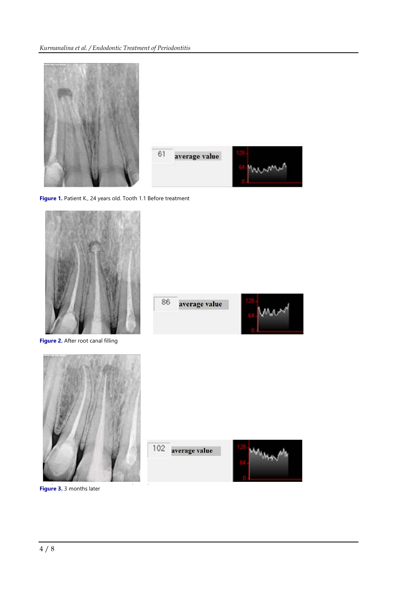

**Figure 1.** Patient K., 24 years old. Tooth 1.1 Before treatment



**Figure 2.** After root canal filling



86 average value





**Figure 3.** 3 months later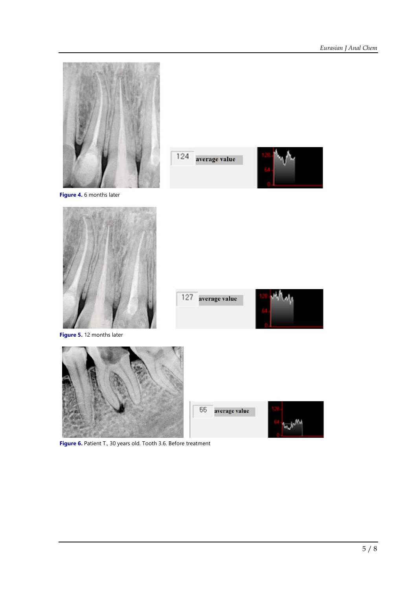

**Figure 6.** Patient T., 30 years old. Tooth 3.6. Before treatment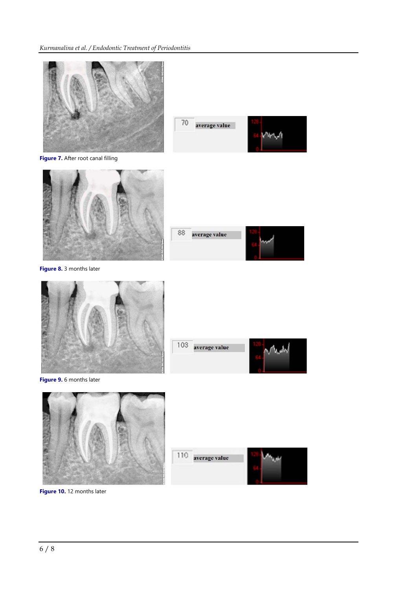

**Figure 7.** After root canal filling





**Figure 8.** 3 months later





average value

103



**Figure 9.** 6 months later



110 average value



**Figure 10.** 12 months later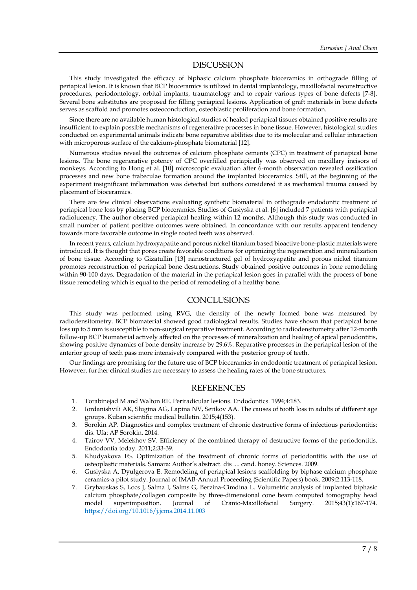#### DISCUSSION

This study investigated the efficacy of biphasic calcium phosphate bioceramics in orthograde filling of periapical lesion. It is known that BCP bioceramics is utilized in dental implantology, maxillofacial reconstructive procedures, periodontology, orbital implants, traumatology and to repair various types of bone defects [7-8]. Several bone substitutes are proposed for filling periapical lesions. Application of graft materials in bone defects serves as scaffold and promotes osteoconduction, osteoblastic proliferation and bone formation.

Since there are no available human histological studies of healed periapical tissues obtained positive results are insufficient to explain possible mechanisms of regenerative processes in bone tissue. However, histological studies conducted on experimental animals indicate bone reparative abilities due to its molecular and cellular interaction with microporous surface of the calcium-phosphate biomaterial [12].

Numerous studies reveal the outcomes of calcium phosphate cements (CPC) in treatment of periapical bone lesions. The bone regenerative potency of CPC overfilled periapically was observed on maxillary incisors of monkeys. According to Hong et al. [10] microscopic evaluation after 6-month observation revealed ossification processes and new bone trabeculae formation around the implanted bioceramics. Still, at the beginning of the experiment insignificant inflammation was detected but authors considered it as mechanical trauma caused by placement of bioceramics.

There are few clinical observations evaluating synthetic biomaterial in orthograde endodontic treatment of periapical bone loss by placing BCP bioceramics. Studies of Gusiyska et al. [6] included 7 patients with periapical radiolucency. The author observed periapical healing within 12 months. Although this study was conducted in small number of patient positive outcomes were obtained. In concordance with our results apparent tendency towards more favorable outcome in single rooted teeth was observed.

In recent years, calcium hydroxyapatite and porous nickel titanium based bioactive bone-plastic materials were introduced. It is thought that pores create favorable conditions for optimizing the regeneration and mineralization of bone tissue. According to Gizatullin [13] nanostructured gel of hydroxyapatite and porous nickel titanium promotes reconstruction of periapical bone destructions. Study obtained positive outcomes in bone remodeling within 90-100 days. Degradation of the material in the periapical lesion goes in parallel with the process of bone tissue remodeling which is equal to the period of remodeling of a healthy bone.

#### **CONCLUSIONS**

This study was performed using RVG, the density of the newly formed bone was measured by radiodensitometry. BCP biomaterial showed good radiological results. Studies have shown that periapical bone loss up to 5 mm is susceptible to non-surgical reparative treatment. According to radiodensitometry after 12-month follow-up BCP biomaterial actively affected on the processes of mineralization and healing of apical periodontitis, showing positive dynamics of bone density increase by 29.6%. Reparative processes in the periapical lesion of the anterior group of teeth pass more intensively compared with the posterior group of teeth.

Our findings are promising for the future use of BCP bioceramics in endodontic treatment of periapical lesion. However, further clinical studies are necessary to assess the healing rates of the bone structures.

### **REFERENCES**

- 1. Torabinejad M and Walton RE. Periradicular lesions. Endodontics. 1994;4:183.
- 2. Iordanishvili AK, Slugina AG, Lapina NV, Serikov AA. The causes of tooth loss in adults of different age groups. Kuban scientific medical bulletin. 2015;4(153).
- 3. Sorokin AP. Diagnostics and complex treatment of chronic destructive forms of infectious periodontitis: dis. Ufa: AP Sorokin. 2014.
- 4. Tairov VV, Melekhov SV. Efficiency of the combined therapy of destructive forms of the periodontitis. Endodontia today. 2011;2:33-39.
- 5. Khudyakova ES. Optimization of the treatment of chronic forms of periodontitis with the use of osteoplastic materials. Samara: Author's abstract. dis .... cand. honey. Sciences. 2009.
- 6. Gusiyska A, Dyulgerova E. Remodeling of periapical lesions scaffolding by biphase calcium phosphate ceramics-a pilot study. Journal of IMAB-Annual Proceeding (Scientific Papers) book. 2009;2:113-118.
- 7. Grybauskas S, Locs J, Salma I, Salms G, Berzina-Cimdina L. Volumetric analysis of implanted biphasic calcium phosphate/collagen composite by three-dimensional cone beam computed tomography head model superimposition. Journal of Cranio-Maxillofacial Surgery. 2015;43(1):167-174. <https://doi.org/10.1016/j.jcms.2014.11.003>